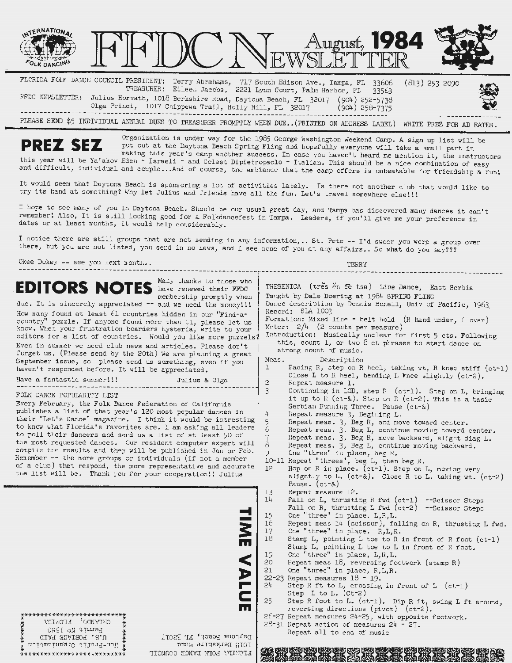

FLORIDA *FOIY* DANCE COUNCIL PRESIDENT: Terry Abrahams, 717 South Edison Ave., Tampa, FL 33606 TREASURER: Eilee. Jacobs, 2221 Lynn Court, Falm Harbor, FI. 33563 (813) 253 2090 FFDC NEWSLETTER: Julius Horvath, 1018 Berkshire Road, Daytona Beach, FL 32017 (904) 252-5738 Olga Princi, 1017 Chippewa Trail, Holly Hill, FL 32017 (904) 258-7375

PLEASE SEND \$5 INDIVIDUAL ANNUAL DUES TO TREASURER PROMPTLY WHEN DUE..(PRINTED ON ADDRESS LABEL) WRITE PREZ FOR AD RATES.

**PREZ SEZ** Organization is under way for the 1985 George Washington Weekend Camp. A sign up list will be put out at the Daytona Beach Spring Fling and hopefully everyone will take a small part in making this year's camp another success. In case you haven't heard me mention it, the instructors this year will be Ya'akov Eden - Israeli - and Celest Dipietropaolo - Italian. This should be a nice combination of easy and difficult, individual and couple...And of course, the ambiance that the camp offers is unbeatable for friendship & fun!

It would seem that Daytona Beach is sponsoring a lot of activities lately. Is there not another club that would like to try its hand at something? Why let Julius and friends have all the fun. Let's travel somewhere else!!!

I hope to see many of you in Daytona Beach. Should be our usual great day, and Tampa has discovered many dances it can't remember! Also, It is still looking good for a Folkdancefest in Tampa. Leaders, if you'll give me your preference in dates or at least months, it would help considerably.

I notice there are still groups that are not sending in any information,.. St. Pete -- I'd swear you were a group over there, but you are not listed, you send in no news, and I see none of you at any affairs.. So what do you say???

Okee Dokey -- see you next rontn...

| Many thanks to those who<br><b>EDITORS NOTES</b><br>have renewed their FFDC<br>membership promptly when<br>due. It is sincerely appreciated -- and we need the money!!!<br>How many found at least (1 countries hidden in our "Find-a-<br>country" puzzle. If anyone found more than (1, please let us<br>know. When your frustration boarders hysteria, write to your<br>editors for a list of countries. Would you like more puzzels?<br>Even in summer we need club news and articles. Please don't<br>forget us. (Please send by the 20th) We are planning a great<br>September issue, so please send us something, even if you<br>haven't responded before. It will be appreciated.<br>Have a fantastic summer!!!<br>Julius & Olga<br>FOLK DANCE POPULARITY LIST<br>Every February, the Folk Dance Federation of California<br>publishes a list of that year's 120 most popular dances in | TRESENICA (tres en ee tsa) Line Dance, East Serbia<br>Taught by Dale Doering at 1984 SPRING FLING<br>Dance description by Dennis Boxell, Univ of Pacific, 1963<br>Record: SLA 1003<br>Formation: Mixed line - belt hold (R hand under, L over)<br>Meter: $2/4$ (2 counts per measure)<br>Introduction: Musically unclear for first 5 cts. Following<br>this, count 1, or two 8 ct phrases to start dance on<br>strong count of music.<br>Meas.<br>Description<br>$\mathbf{1}$<br>Facing R, step on R heel, taking wt, R knec stiff (ct-1)<br>Close L to R heel, bending L knee slightly (ct-2).<br>$\mathbf{2}$<br>Repeat measure 1.<br>3<br>Continuing in LOD, step R (ct-1). Step on L, bringing<br>it up to R (ct-&). Step on R (ct-2). This is a basic<br>Serbian Running Three. Pause (ct-&)<br>4<br>Repeat measure 3, Begining L.                                                         |
|------------------------------------------------------------------------------------------------------------------------------------------------------------------------------------------------------------------------------------------------------------------------------------------------------------------------------------------------------------------------------------------------------------------------------------------------------------------------------------------------------------------------------------------------------------------------------------------------------------------------------------------------------------------------------------------------------------------------------------------------------------------------------------------------------------------------------------------------------------------------------------------------|-------------------------------------------------------------------------------------------------------------------------------------------------------------------------------------------------------------------------------------------------------------------------------------------------------------------------------------------------------------------------------------------------------------------------------------------------------------------------------------------------------------------------------------------------------------------------------------------------------------------------------------------------------------------------------------------------------------------------------------------------------------------------------------------------------------------------------------------------------------------------------------------------|
| their "Let's Dance" magazine. I think it would be intresting<br>to know what Florida's favorites are. I am asking all leaders<br>to poll their dancers and send us a list of at least 50 of<br>the most requested dances. Our resident computer expert will<br>compile the results and they will be published in Jan or Feo.<br>Renember -- the more groups or individuals (if not a member<br>of a club) that respond, the more representative and accurate<br>the list will be. Thank you for your cooperation!! Julius<br><b>NH</b>                                                                                                                                                                                                                                                                                                                                                         | 5<br>Repeat meas. 3, Beg R, and move toward center.<br>F.<br>Repeat meas. 3, Beg L, continue moving toward center.<br>Repeat meas. 3, Beg R, move backward, slight diag L.<br>8<br>Repeat meas. 3, Beg L, continue moving backward.<br>79.<br>One "three" in place, beg R.<br>10-11 Repeat "threes", beg L, then beg R.<br>12 <sup>°</sup><br>Hop on R in place. (ct-1). Step on L, moving very<br>slightly to L. (ct-&). Close R to L. taking wt. (ct-2)<br>Pause. $(ct - \&)$<br>13<br>Repeat measure 12.<br>14<br>Fall on L, thrusting R fwd (ct-1) --Seissor Steps<br>Fall on R, thrusting L fwd (ct-2) --Scissor Steps<br>One "three" in place. L,R,L.<br>15<br>16<br>Repeat meas 14 (scissor), falling on R, thrusting L fwd.<br>One "three" in place. R, L, R.<br>17<br>18<br>Stamp L, pointing L toe to R in front of R foot (ct-1)<br>Stamp L, pointing L toe to L in front of R foot. |
| $\leq$<br><b>NLU</b><br>m<br>**************************<br>OKTVIDO' EFORIDV<br>Permit No 12RO<br>Daytona Beach, FL 32017<br>GIAT HOATACE . 2.U<br>IOIS Berkshire Road<br>Non-Profit Organization<br>EFORITY EORY DVMCE COMMOTT<br>***************************                                                                                                                                                                                                                                                                                                                                                                                                                                                                                                                                                                                                                                  | One "three" in place, L,R,L.<br>19<br>Repeat meas 18, reversing footwork (stamp R)<br>20<br>One "three" in place, R, L, R.<br>21<br>22-23 Repeat measures $18 - 19$ .<br>Step R ft to L, crossing in front of L (ct-1)<br>24<br>Step L to L. $(ct-2)$<br>25<br>Step R foot to L. (ct-1). Dip R ft, swing L ft around,<br>reversing directions (pivot) $(ct-2)$ .<br>$2f-27$ Repeat measures $24-25$ , with opposite footwork.<br>$28-31$ Repeat action of measures $24 - 27$ .<br>Repeat all to end of music                                                                                                                                                                                                                                                                                                                                                                                    |